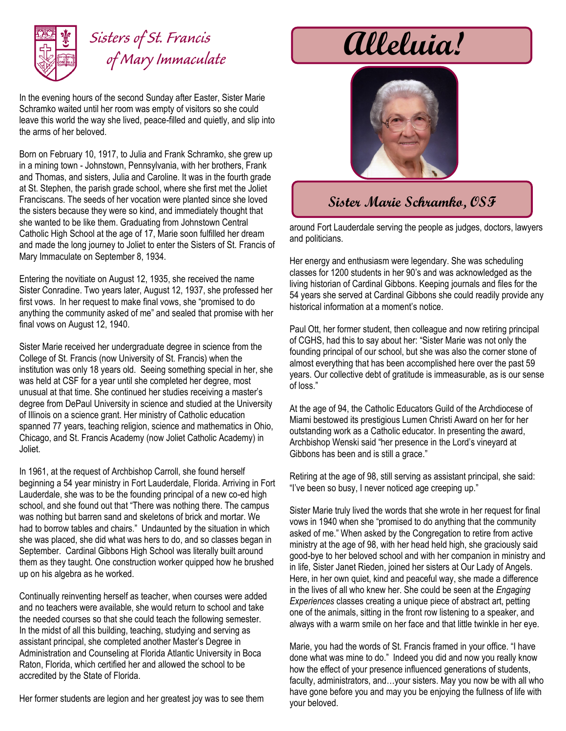

## *Sisters of St. Francis of Mary Immaculate*

In the evening hours of the second Sunday after Easter, Sister Marie Schramko waited until her room was empty of visitors so she could leave this world the way she lived, peace-filled and quietly, and slip into the arms of her beloved.

Born on February 10, 1917, to Julia and Frank Schramko, she grew up in a mining town - Johnstown, Pennsylvania, with her brothers, Frank and Thomas, and sisters, Julia and Caroline. It was in the fourth grade at St. Stephen, the parish grade school, where she first met the Joliet Franciscans. The seeds of her vocation were planted since she loved the sisters because they were so kind, and immediately thought that she wanted to be like them. Graduating from Johnstown Central Catholic High School at the age of 17, Marie soon fulfilled her dream and made the long journey to Joliet to enter the Sisters of St. Francis of Mary Immaculate on September 8, 1934.

Entering the novitiate on August 12, 1935, she received the name Sister Conradine. Two years later, August 12, 1937, she professed her first vows. In her request to make final vows, she "promised to do anything the community asked of me" and sealed that promise with her final vows on August 12, 1940.

Sister Marie received her undergraduate degree in science from the College of St. Francis (now University of St. Francis) when the institution was only 18 years old. Seeing something special in her, she was held at CSF for a year until she completed her degree, most unusual at that time. She continued her studies receiving a master's degree from DePaul University in science and studied at the University of Illinois on a science grant. Her ministry of Catholic education spanned 77 years, teaching religion, science and mathematics in Ohio, Chicago, and St. Francis Academy (now Joliet Catholic Academy) in Joliet.

In 1961, at the request of Archbishop Carroll, she found herself beginning a 54 year ministry in Fort Lauderdale, Florida. Arriving in Fort Lauderdale, she was to be the founding principal of a new co-ed high school, and she found out that "There was nothing there. The campus was nothing but barren sand and skeletons of brick and mortar. We had to borrow tables and chairs." Undaunted by the situation in which she was placed, she did what was hers to do, and so classes began in September. Cardinal Gibbons High School was literally built around them as they taught. One construction worker quipped how he brushed up on his algebra as he worked.

Continually reinventing herself as teacher, when courses were added and no teachers were available, she would return to school and take the needed courses so that she could teach the following semester. In the midst of all this building, teaching, studying and serving as assistant principal, she completed another Master's Degree in Administration and Counseling at Florida Atlantic University in Boca Raton, Florida, which certified her and allowed the school to be accredited by the State of Florida.

Her former students are legion and her greatest joy was to see them

## **Alleluia!**



## **Sister Marie Schramko, OSF**

around Fort Lauderdale serving the people as judges, doctors, lawyers and politicians.

Her energy and enthusiasm were legendary. She was scheduling classes for 1200 students in her 90's and was acknowledged as the living historian of Cardinal Gibbons. Keeping journals and files for the 54 years she served at Cardinal Gibbons she could readily provide any historical information at a moment's notice.

Paul Ott, her former student, then colleague and now retiring principal of CGHS, had this to say about her: "Sister Marie was not only the founding principal of our school, but she was also the corner stone of almost everything that has been accomplished here over the past 59 years. Our collective debt of gratitude is immeasurable, as is our sense of loss."

At the age of 94, the Catholic Educators Guild of the Archdiocese of Miami bestowed its prestigious Lumen Christi Award on her for her outstanding work as a Catholic educator. In presenting the award, Archbishop Wenski said "her presence in the Lord's vineyard at Gibbons has been and is still a grace."

Retiring at the age of 98, still serving as assistant principal, she said: "I've been so busy, I never noticed age creeping up."

Sister Marie truly lived the words that she wrote in her request for final vows in 1940 when she "promised to do anything that the community asked of me." When asked by the Congregation to retire from active ministry at the age of 98, with her head held high, she graciously said good-bye to her beloved school and with her companion in ministry and in life, Sister Janet Rieden, joined her sisters at Our Lady of Angels. Here, in her own quiet, kind and peaceful way, she made a difference in the lives of all who knew her. She could be seen at the *Engaging Experiences* classes creating a unique piece of abstract art, petting one of the animals, sitting in the front row listening to a speaker, and always with a warm smile on her face and that little twinkle in her eye.

Marie, you had the words of St. Francis framed in your office. "I have done what was mine to do." Indeed you did and now you really know how the effect of your presence influenced generations of students, faculty, administrators, and…your sisters. May you now be with all who have gone before you and may you be enjoying the fullness of life with your beloved.